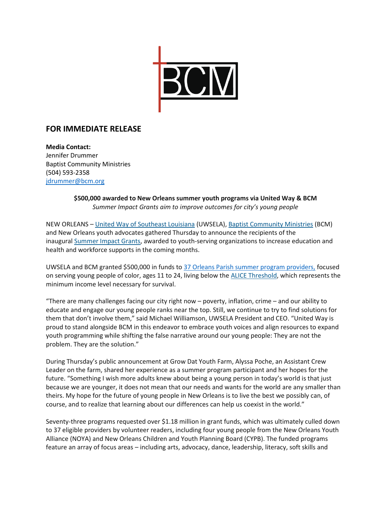

# **FOR IMMEDIATE RELEASE**

**Media Contact:**  Jennifer Drummer Baptist Community Ministries (504) 593-2358 [jdrummer@bcm.org](mailto:jdrummer@bcm.org)

> **\$500,000 awarded to New Orleans summer youth programs via United Way & BCM** *Summer Impact Grants aim to improve outcomes for city's young people*

NEW ORLEANS – [United Way of Southeast Louisiana](http://www.unitedwaysela.org/) (UWSELA), [Baptist Community Ministries](https://www.bcm.org/) (BCM) and New Orleans youth advocates gathered Thursday to announce the recipients of the inaugural [Summer Impact Grants,](https://www.bcm.org/2022-summer-impact-grants/) awarded to youth-serving organizations to increase education and health and workforce supports in the coming months.

UWSELA and BCM granted \$500,000 in funds to [37 Orleans Parish summer program providers,](https://www.bcm.org/2022-summer-impact-grants/) focused on serving young people of color, ages 11 to 24, living below the [ALICE Threshold,](http://www.unitedwaysela.org/ALICE) which represents the minimum income level necessary for survival.

"There are many challenges facing our city right now – poverty, inflation, crime – and our ability to educate and engage our young people ranks near the top. Still, we continue to try to find solutions for them that don't involve them," said Michael Williamson, UWSELA President and CEO. "United Way is proud to stand alongside BCM in this endeavor to embrace youth voices and align resources to expand youth programming while shifting the false narrative around our young people: They are not the problem. They are the solution."

During Thursday's public announcement at Grow Dat Youth Farm, Alyssa Poche, an Assistant Crew Leader on the farm, shared her experience as a summer program participant and her hopes for the future. "Something I wish more adults knew about being a young person in today's world is that just because we are younger, it does not mean that our needs and wants for the world are any smaller than theirs. My hope for the future of young people in New Orleans is to live the best we possibly can, of course, and to realize that learning about our differences can help us coexist in the world."

Seventy-three programs requested over \$1.18 million in grant funds, which was ultimately culled down to 37 eligible providers by volunteer readers, including four young people from the New Orleans Youth Alliance (NOYA) and New Orleans Children and Youth Planning Board (CYPB). The funded programs feature an array of focus areas – including arts, advocacy, dance, leadership, literacy, soft skills and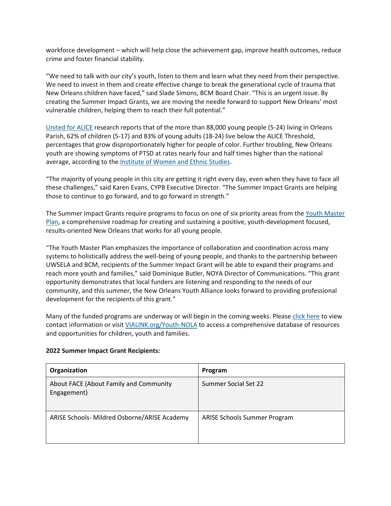workforce development – which will help close the achievement gap, improve health outcomes, reduce crime and foster financial stability.

"We need to talk with our city's youth, listen to them and learn what they need from their perspective. We need to invest in them and create effective change to break the generational cycle of trauma that New Orleans children have faced," said Slade Simons, BCM Board Chair. "This is an urgent issue. By creating the Summer Impact Grants, we are moving the needle forward to support New Orleans' most vulnerable children, helping them to reach their full potential."

[United for ALICE](http://www.unitedforalice.org/) research reports that of the more than 88,000 young people (5-24) living in Orleans Parish, 62% of children (5-17) and 83% of young adults (18-24) live below the ALICE Threshold, percentages that grow disproportionately higher for people of color. Further troubling, New Orleans youth are showing symptoms of PTSD at rates nearly four and half times higher than the national average, according to the [Institute of Women and Ethnic Studies.](http://inthatnumber-iwes.org/about-1)

"The majority of young people in this city are getting it right every day, even when they have to face all these challenges," said Karen Evans, CYPB Executive Director. "The Summer Impact Grants are helping those to continue to go forward, and to go forward in strength."

The Summer Impact Grants require programs to focus on one of six priority areas from the Youth Master [Plan,](https://nolayouthmasterplan.org/) a comprehensive roadmap for creating and sustaining a positive, youth-development focused, results-oriented New Orleans that works for all young people.

"The Youth Master Plan emphasizes the importance of collaboration and coordination across many systems to holistically address the well-being of young people, and thanks to the partnership between UWSELA and BCM, recipients of the Summer Impact Grant will be able to expand their programs and reach more youth and families," said Dominique Butler, NOYA Director of Communications. "This grant opportunity demonstrates that local funders are listening and responding to the needs of our community, and this summer, the New Orleans Youth Alliance looks forward to providing professional development for the recipients of this grant."

Many of the funded programs are underway or will begin in the coming weeks. Please [click here](https://www.bcm.org/2022-summer-impact-grants/) to view contact information or visit [VIALINK.org/Youth-NOLA](https://vialink.org/youth-nola/) to access a comprehensive database of resources and opportunities for children, youth and families.

| Organization                                          | Program                      |  |
|-------------------------------------------------------|------------------------------|--|
| About FACE (About Family and Community<br>Engagement) | Summer Social Set 22         |  |
| ARISE Schools- Mildred Osborne/ARISE Academy          | ARISE Schools Summer Program |  |
|                                                       |                              |  |

## **2022 Summer Impact Grant Recipients:**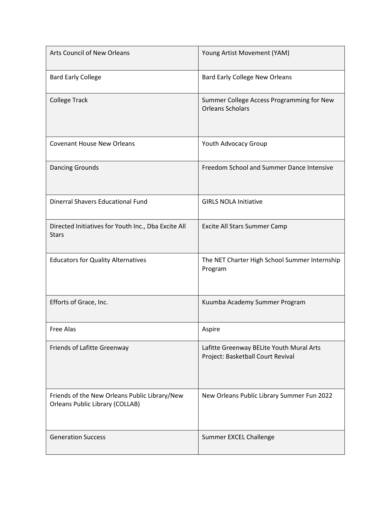| Arts Council of New Orleans                                                             | Young Artist Movement (YAM)                                                   |
|-----------------------------------------------------------------------------------------|-------------------------------------------------------------------------------|
| <b>Bard Early College</b>                                                               | <b>Bard Early College New Orleans</b>                                         |
| <b>College Track</b>                                                                    | Summer College Access Programming for New<br><b>Orleans Scholars</b>          |
| <b>Covenant House New Orleans</b>                                                       | Youth Advocacy Group                                                          |
| <b>Dancing Grounds</b>                                                                  | Freedom School and Summer Dance Intensive                                     |
| <b>Dinerral Shavers Educational Fund</b>                                                | <b>GIRLS NOLA Initiative</b>                                                  |
| Directed Initiatives for Youth Inc., Dba Excite All<br><b>Stars</b>                     | Excite All Stars Summer Camp                                                  |
| <b>Educators for Quality Alternatives</b>                                               | The NET Charter High School Summer Internship<br>Program                      |
| Efforts of Grace, Inc.                                                                  | Kuumba Academy Summer Program                                                 |
| Free Alas                                                                               | Aspire                                                                        |
| Friends of Lafitte Greenway                                                             | Lafitte Greenway BELite Youth Mural Arts<br>Project: Basketball Court Revival |
| Friends of the New Orleans Public Library/New<br><b>Orleans Public Library (COLLAB)</b> | New Orleans Public Library Summer Fun 2022                                    |
| <b>Generation Success</b>                                                               | Summer EXCEL Challenge                                                        |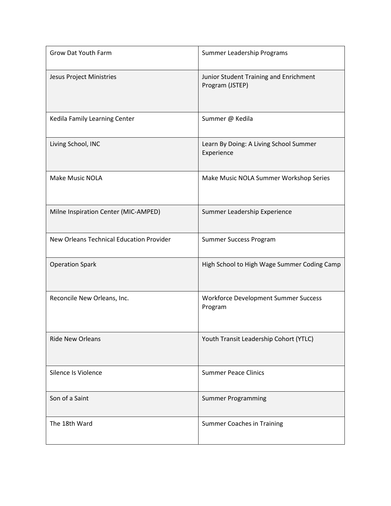| <b>Grow Dat Youth Farm</b>               | Summer Leadership Programs                                |
|------------------------------------------|-----------------------------------------------------------|
| Jesus Project Ministries                 | Junior Student Training and Enrichment<br>Program (JSTEP) |
| Kedila Family Learning Center            | Summer @ Kedila                                           |
| Living School, INC                       | Learn By Doing: A Living School Summer<br>Experience      |
| <b>Make Music NOLA</b>                   | Make Music NOLA Summer Workshop Series                    |
| Milne Inspiration Center (MIC-AMPED)     | Summer Leadership Experience                              |
| New Orleans Technical Education Provider | Summer Success Program                                    |
| <b>Operation Spark</b>                   | High School to High Wage Summer Coding Camp               |
| Reconcile New Orleans, Inc.              | Workforce Development Summer Success<br>Program           |
| <b>Ride New Orleans</b>                  | Youth Transit Leadership Cohort (YTLC)                    |
| Silence Is Violence                      | <b>Summer Peace Clinics</b>                               |
| Son of a Saint                           | <b>Summer Programming</b>                                 |
| The 18th Ward                            | <b>Summer Coaches in Training</b>                         |